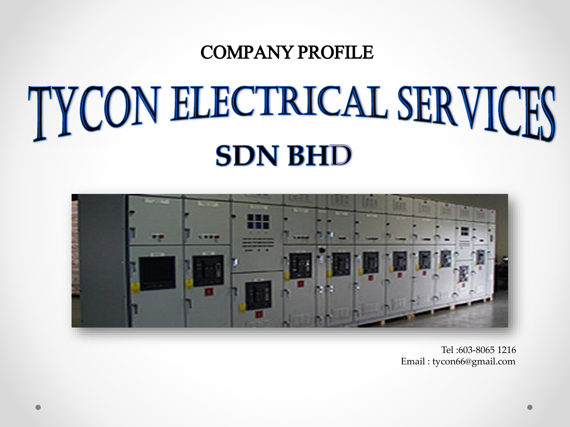## COMPANY PROFILE

# TYCON ELECTRICAL SERVICES **SDN BHD**



Tel :603-8065 1216 Email : tycon66@gmail.com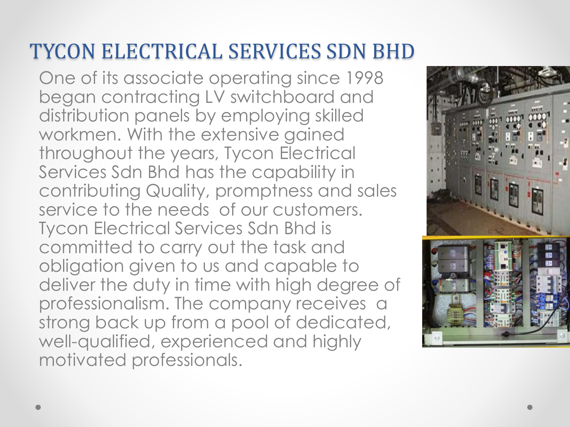# TYCON ELECTRICAL SERVICES SDN BHD

One of its associate operating since 1998 began contracting LV switchboard and distribution panels by employing skilled workmen. With the extensive gained throughout the years, Tycon Electrical Services Sdn Bhd has the capability in contributing Quality, promptness and sales service to the needs of our customers. Tycon Electrical Services Sdn Bhd is committed to carry out the task and obligation given to us and capable to deliver the duty in time with high degree of professionalism. The company receives a strong back up from a pool of dedicated, well-qualified, experienced and highly motivated professionals.

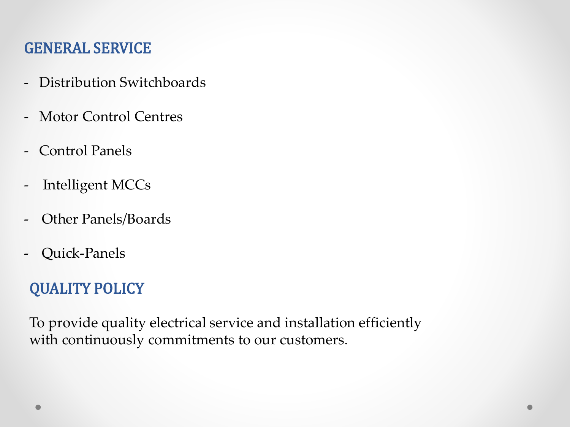#### GENERAL SERVICE

- Distribution Switchboards
- Motor Control Centres
- Control Panels
- Intelligent MCCs
- Other Panels/Boards
- Quick-Panels

#### QUALITY POLICY

To provide quality electrical service and installation efficiently with continuously commitments to our customers.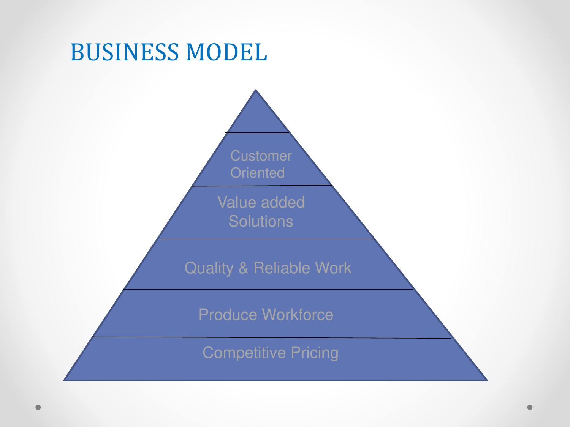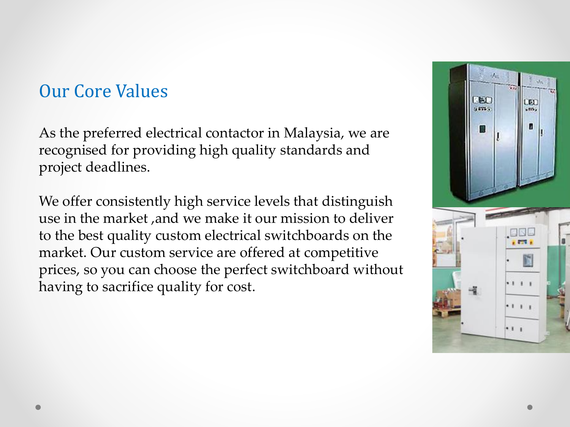### Our Core Values

As the preferred electrical contactor in Malaysia, we are recognised for providing high quality standards and project deadlines.

We offer consistently high service levels that distinguish use in the market ,and we make it our mission to deliver to the best quality custom electrical switchboards on the market. Our custom service are offered at competitive prices, so you can choose the perfect switchboard without having to sacrifice quality for cost.

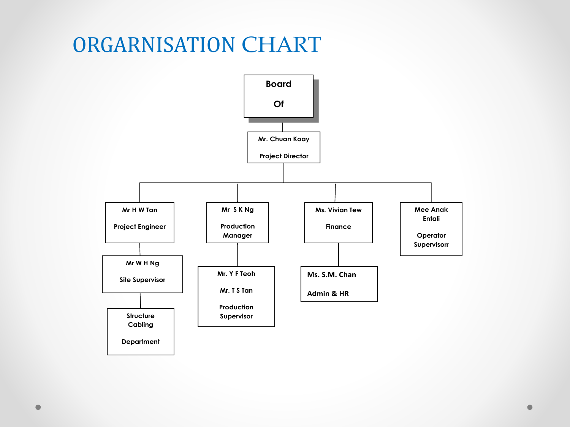## ORGARNISATION CHART

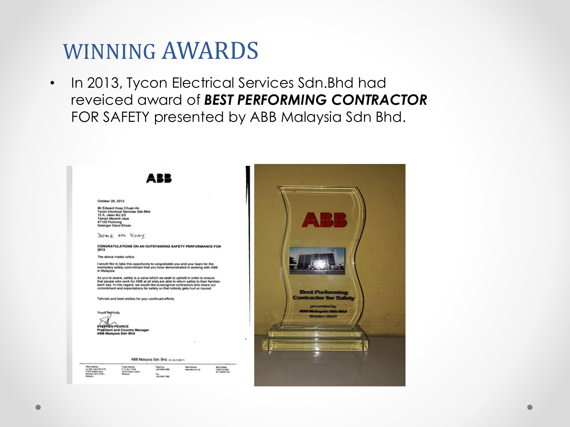## WINNING AWARDS

• In 2013, Tycon Electrical Services Sdn.Bhd had reveiced award of *BEST PERFORMING CONTRACTOR*  FOR SAFETY presented by ABB Malaysia Sdn Bhd.

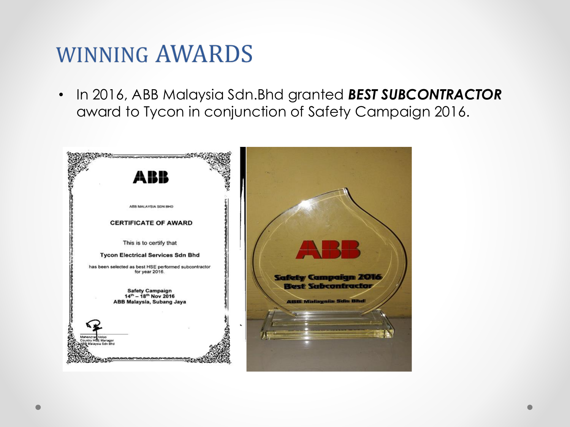## **WINNING AWARDS**

• In 2016, ABB Malaysia Sdn.Bhd granted *BEST SUBCONTRACTOR*  award to Tycon in conjunction of Safety Campaign 2016.